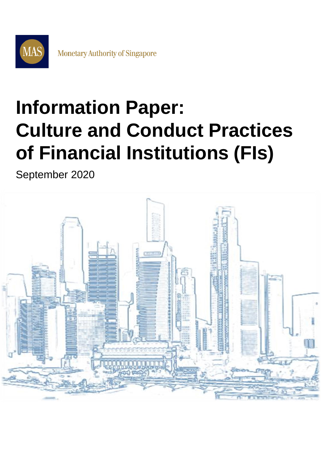

# **Information Paper: Culture and Conduct Practices of Financial Institutions (FIs)**

September 2020

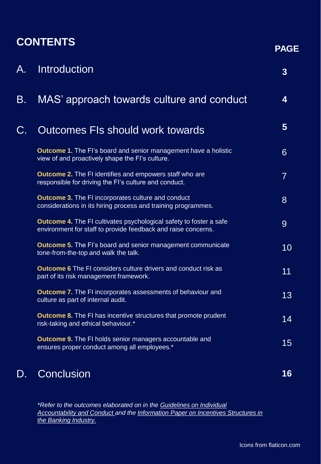### **CONTENTS**

| А. | <b>Introduction</b>                                                                                                                        | $\overline{3}$ |
|----|--------------------------------------------------------------------------------------------------------------------------------------------|----------------|
| Β. | MAS' approach towards culture and conduct                                                                                                  | 4              |
| C. | Outcomes FIs should work towards                                                                                                           | 5              |
|    | <b>Outcome 1.</b> The FI's board and senior management have a holistic<br>view of and proactively shape the FI's culture.                  | 6              |
|    | <b>Outcome 2.</b> The FI identifies and empowers staff who are<br>responsible for driving the FI's culture and conduct.                    | $\overline{7}$ |
|    | <b>Outcome 3. The FI incorporates culture and conduct</b><br>considerations in its hiring process and training programmes.                 | 8              |
|    | <b>Outcome 4.</b> The FI cultivates psychological safety to foster a safe<br>environment for staff to provide feedback and raise concerns. | 9              |
|    | <b>Outcome 5.</b> The FI's board and senior management communicate<br>tone-from-the-top and walk the talk.                                 | 10             |
|    | <b>Outcome 6</b> The FI considers culture drivers and conduct risk as<br>part of its risk management framework.                            | 11             |
|    | <b>Outcome 7.</b> The FI incorporates assessments of behaviour and<br>culture as part of internal audit.                                   | 13             |
|    | <b>Outcome 8.</b> The FI has incentive structures that promote prudent<br>risk-taking and ethical behaviour.*                              | 14             |
|    | <b>Outcome 9.</b> The FI holds senior managers accountable and<br>ensures proper conduct among all employees.*                             | 15             |
| D. | Conclusion                                                                                                                                 | 16             |

*\*Refer to the outcomes elaborated on in the Guidelines on Individual [Accountability and Conduct and the Information Paper on Incentives](https://www.mas.gov.sg/regulation/guidelines/guidelines-on-individual-accountability-and-conduct) [Structures in](https://www.mas.gov.sg/-/media/MAS/Publications/Monograph-or-Information-Paper/2019/Information-paper--Incentive-Structures-in-the-Banking-Industry.pdf)  the Banking Industry.*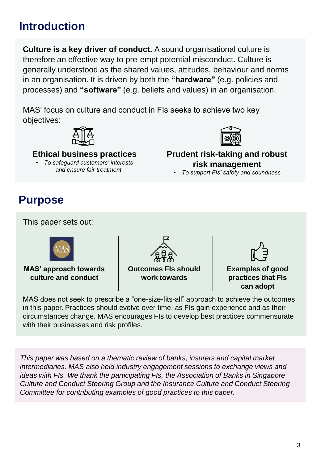### <span id="page-2-0"></span>**Introduction**

**Culture is a key driver of conduct.** A sound organisational culture is therefore an effective way to pre-empt potential misconduct. Culture is generally understood as the shared values, attitudes, behaviour and norms in an organisation. It is driven by both the **"hardware"** (e.g. policies and processes) and **"software"** (e.g. beliefs and values) in an organisation.

MAS' focus on culture and conduct in FIs seeks to achieve two key objectives:



**Ethical business practices** 

• *To safeguard customers' interests and ensure fair treatment*



**Prudent risk-taking and robust risk management**

• *To support FIs' safety and soundness*

### **Purpose**

This paper sets out:



**MAS' approach towards culture and conduct**

**Outcomes FIs should work towards**



**Examples of good practices that FIs can adopt**

MAS does not seek to prescribe a "one-size-fits-all" approach to achieve the outcomes in this paper. Practices should evolve over time, as FIs gain experience and as their circumstances change. MAS encourages FIs to develop best practices commensurate with their businesses and risk profiles.

*This paper was based on a thematic review of banks, insurers and capital market intermediaries. MAS also held industry engagement sessions to exchange views and ideas with FIs. We thank the participating FIs, the Association of Banks in Singapore Culture and Conduct Steering Group and the Insurance Culture and Conduct Steering Committee for contributing examples of good practices to this paper.*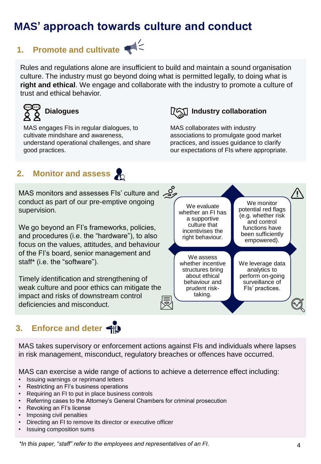### <span id="page-3-0"></span>**MAS' approach towards culture and conduct**

## **1. Promote and cultivate**

Rules and regulations alone are insufficient to build and maintain a sound organisation culture. The industry must go beyond doing what is permitted legally, to doing what is **right and ethical**. We engage and collaborate with the industry to promote a culture of trust and ethical behavior.



MAS engages FIs in regular dialogues, to cultivate mindshare and awareness, understand operational challenges, and share good practices.

### **IAD** Industry collaboration

prudent risktaking.

MAS collaborates with industry associations to promulgate good market practices, and issues guidance to clarify our expectations of FIs where appropriate.

#### **2. Monitor and assess**

MAS monitors and assesses FIs' culture and 29 conduct as part of our pre-emptive ongoing supervision.

We go beyond an FI's frameworks, policies, and procedures (i.e. the "hardware"), to also focus on the values, attitudes, and behaviour of the FI's board, senior management and staff\* (i.e. the "software").

Timely identification and strengthening of weak culture and poor ethics can mitigate the impact and risks of downstream control deficiencies and misconduct.

### **3. Enforce and deter**



FIs' practices.

MAS takes supervisory or enforcement actions against FIs and individuals where lapses in risk management, misconduct, regulatory breaches or offences have occurred.

MAS can exercise a wide range of actions to achieve a deterrence effect including:

- Issuing warnings or reprimand letters
- Restricting an FI's business operations
- Requiring an FI to put in place business controls
- Referring cases to the Attorney's General Chambers for criminal prosecution
- Revoking an FI's license
- Imposing civil penalties
- Directing an FI to remove its director or executive officer
- Issuing composition sums

*\*In this paper, "staff" refer to the employees and representatives of an FI.* 4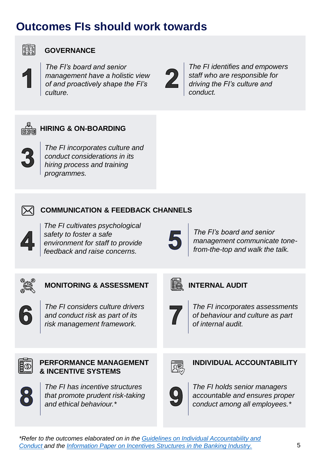### <span id="page-4-0"></span>**Outcomes FIs should work towards**



#### **GOVERNANCE**

*The FI's board and senior management have a holistic view of and proactively shape the FI's culture.*

*The FI identifies and empowers staff who are responsible for driving the FI's culture and conduct.*



#### **HIRING & ON-BOARDING**

*The FI incorporates culture and conduct considerations in its hiring process and training programmes.*



#### **COMMUNICATION & FEEDBACK CHANNELS**

*The FI cultivates psychological safety to foster a safe environment for staff to provide feedback and raise concerns.* 

*The FI's board and senior management communicate tonefrom-the-top and walk the talk.*



#### **MONITORING & ASSESSMENT**

*The FI considers culture drivers and conduct risk as part of its risk management framework.* 

#### **INTERNAL AUDIT**



*The FI incorporates assessments of behaviour and culture as part of internal audit.*



#### **PERFORMANCE MANAGEMENT & INCENTIVE SYSTEMS**



*The FI has incentive structures that promote prudent risk-taking and ethical behaviour.\**



#### **INDIVIDUAL ACCOUNTABILITY**



*The FI holds senior managers accountable and ensures proper conduct among all employees.\**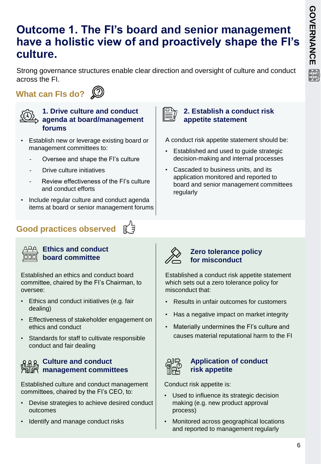### <span id="page-5-0"></span>**Outcome 1. The FI's board and senior management have a holistic view of and proactively shape the FI's culture.**

Strong governance structures enable clear direction and oversight of culture and conduct across the FI.

**What can FIs do?** 



#### **1. Drive culture and conduct agenda at board/management forums**

- Establish new or leverage existing board or management committees to:
	- Oversee and shape the FI's culture
	- Drive culture initiatives
	- Review effectiveness of the FI's culture and conduct efforts
- Include regular culture and conduct agenda items at board or senior management forums

### **Good practices observed**



#### **Ethics and conduct board committee**

Established an ethics and conduct board committee, chaired by the FI's Chairman, to oversee:

- Ethics and conduct initiatives (e.g. fair dealing)
- Effectiveness of stakeholder engagement on ethics and conduct
- Standards for staff to cultivate responsible conduct and fair dealing

### **Culture and conduct MAM Outers Committees**<br>All所 management committees

Established culture and conduct management committees, chaired by the FI's CEO, to:

- Devise strategies to achieve desired conduct outcomes
- Identify and manage conduct risks

#### **2. Establish a conduct risk appetite statement**

A conduct risk appetite statement should be:

- Established and used to guide strategic decision-making and internal processes
- Cascaded to business units, and its application monitored and reported to board and senior management committees regularly



#### **Zero tolerance policy for misconduct**

Established a conduct risk appetite statement which sets out a zero tolerance policy for misconduct that:

- Results in unfair outcomes for customers
- Has a negative impact on market integrity
- Materially undermines the FI's culture and causes material reputational harm to the FI



#### **Application of conduct risk appetite**

Conduct risk appetite is:

- Used to influence its strategic decision making (e.g. new product approval process)
- Monitored across geographical locations and reported to management regularly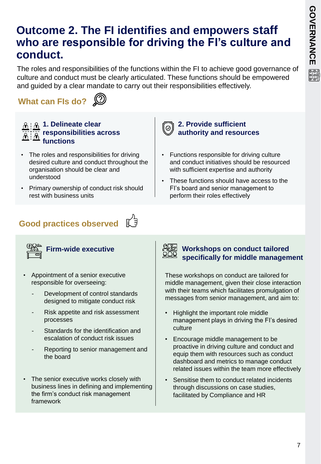### <span id="page-6-0"></span>**Outcome 2. The FI identifies and empowers staff who are responsible for driving the FI's culture and conduct.**

The roles and responsibilities of the functions within the FI to achieve good governance of culture and conduct must be clearly articulated. These functions should be empowered and guided by a clear mandate to carry out their responsibilities effectively.

[ල

**What can FIs do?** 



#### **1. Delineate clear responsibilities across functions**

- The roles and responsibilities for driving desired culture and conduct throughout the organisation should be clear and understood
- Primary ownership of conduct risk should rest with business units

#### **2. Provide sufficient authority and resources**

- Functions responsible for driving culture and conduct initiatives should be resourced with sufficient expertise and authority
- These functions should have access to the FI's board and senior management to perform their roles effectively

## **Good practices observed**



- Appointment of a senior executive responsible for overseeing:
	- Development of control standards designed to mitigate conduct risk
	- Risk appetite and risk assessment processes
	- Standards for the identification and escalation of conduct risk issues
	- Reporting to senior management and the board
- The senior executive works closely with business lines in defining and implementing the firm's conduct risk management framework



#### **Firm-wide executive Workshops on conduct tailored specifically for middle management**

These workshops on conduct are tailored for middle management, given their close interaction with their teams which facilitates promulgation of messages from senior management, and aim to:

- Highlight the important role middle management plays in driving the FI's desired culture
- Encourage middle management to be proactive in driving culture and conduct and equip them with resources such as conduct dashboard and metrics to manage conduct related issues within the team more effectively
- Sensitise them to conduct related incidents through discussions on case studies, facilitated by Compliance and HR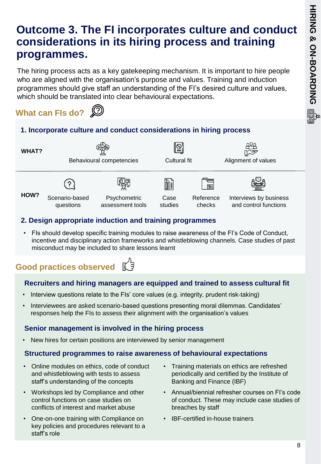### <span id="page-7-0"></span>**Outcome 3. The FI incorporates culture and conduct considerations in its hiring process and training programmes.**

The hiring process acts as a key gatekeeping mechanism. It is important to hire people who are aligned with the organisation's purpose and values. Training and induction programmes should give staff an understanding of the FI's desired culture and values, which should be translated into clear behavioural expectations.



#### **1. Incorporate culture and conduct considerations in hiring process**

**WHAT?**

Behavioural competencies Cultural fit **Alignment of values** 



questions

**HOW?** Scenario-based



**Psychometric** 

assessment tools





Interviews by business and control functions

#### **2. Design appropriate induction and training programmes**

• FIs should develop specific training modules to raise awareness of the FI's Code of Conduct, incentive and disciplinary action frameworks and whistleblowing channels. Case studies of past misconduct may be included to share lessons learnt

### **Good practices observed**

#### **Recruiters and hiring managers are equipped and trained to assess cultural fit**

- Interview questions relate to the FIs' core values (e.g. integrity, prudent risk-taking)
- Interviewees are asked scenario-based questions presenting moral dilemmas. Candidates' responses help the FIs to assess their alignment with the organisation's values

#### **Senior management is involved in the hiring process**

• New hires for certain positions are interviewed by senior management

#### **Structured programmes to raise awareness of behavioural expectations**

- Online modules on ethics, code of conduct and whistleblowing with tests to assess staff's understanding of the concepts
- Workshops led by Compliance and other control functions on case studies on conflicts of interest and market abuse
- One-on-one training with Compliance on key policies and procedures relevant to a staff's role
- Training materials on ethics are refreshed periodically and certified by the Institute of Banking and Finance (IBF)
- Annual/biennial refresher courses on FI's code of conduct. These may include case studies of breaches by staff
- IBF-certified in-house trainers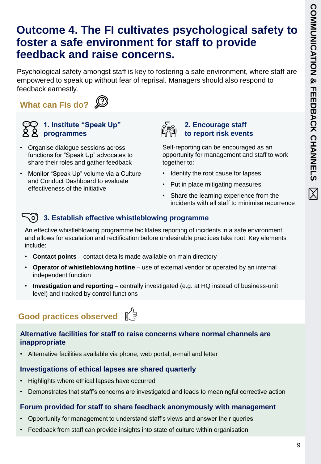### <span id="page-8-0"></span>**Outcome 4. The FI cultivates psychological safety to foster a safe environment for staff to provide feedback and raise concerns.**

Psychological safety amongst staff is key to fostering a safe environment, where staff are empowered to speak up without fear of reprisal. Managers should also respond to feedback earnestly.

**What can FIs do?** 





#### **1. Institute "Speak Up" programmes**

- Organise dialogue sessions across functions for "Speak Up" advocates to share their roles and gather feedback
- Monitor "Speak Up" volume via a Culture and Conduct Dashboard to evaluate effectiveness of the initiative



#### **2. Encourage staff to report risk events**

Self-reporting can be encouraged as an opportunity for management and staff to work together to:

- Identify the root cause for lapses
- Put in place mitigating measures
- Share the learning experience from the incidents with all staff to minimise recurrence

#### **3. Establish effective whistleblowing programme**

An effective whistleblowing programme facilitates reporting of incidents in a safe environment, and allows for escalation and rectification before undesirable practices take root. Key elements include:

- **Contact points** contact details made available on main directory
- **Operator of whistleblowing hotline**  use of external vendor or operated by an internal independent function
- **Investigation and reporting**  centrally investigated (e.g. at HQ instead of business-unit level) and tracked by control functions

#### ‼( ੩ **Good practices observed**

#### **Alternative facilities for staff to raise concerns where normal channels are inappropriate**

• Alternative facilities available via phone, web portal, e-mail and letter

#### **Investigations of ethical lapses are shared quarterly**

- Highlights where ethical lapses have occurred
- Demonstrates that staff's concerns are investigated and leads to meaningful corrective action

#### **Forum provided for staff to share feedback anonymously with management**

- Opportunity for management to understand staff's views and answer their queries
- Feedback from staff can provide insights into state of culture within organisation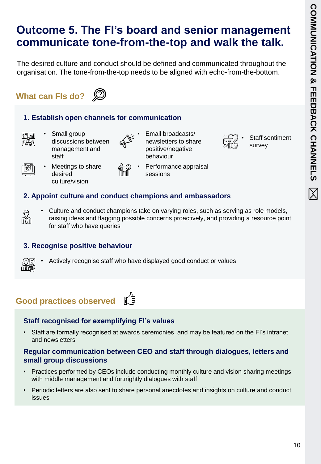Staff sentiment

survey

### <span id="page-9-0"></span>**Outcome 5. The FI's board and senior management communicate tone-from-the-top and walk the talk.**

The desired culture and conduct should be defined and communicated throughout the organisation. The tone-from-the-top needs to be aligned with echo-from-the-bottom.

### **What can FIs do?**



#### **1. Establish open channels for communication**

- 
- Small group discussions between management and

desired culture/vision

- staff • Meetings to share
	-
- newsletters to share positive/negative behaviour

• Email broadcasts/

• Performance appraisal sessions

#### **2. Appoint culture and conduct champions and ambassadors**

• Culture and conduct champions take on varying roles, such as serving as role models, raising ideas and flagging possible concerns proactively, and providing a resource point for staff who have queries

#### **3. Recognise positive behaviour**



fin<br>M

• Actively recognise staff who have displayed good conduct or values

ี ∥ี ≠ี

### **Good practices observed**

#### **Staff recognised for exemplifying FI's values**

• Staff are formally recognised at awards ceremonies, and may be featured on the FI's intranet and newsletters

#### **Regular communication between CEO and staff through dialogues, letters and small group discussions**

- Practices performed by CEOs include conducting monthly culture and vision sharing meetings with middle management and fortnightly dialogues with staff
- Periodic letters are also sent to share personal anecdotes and insights on culture and conduct issues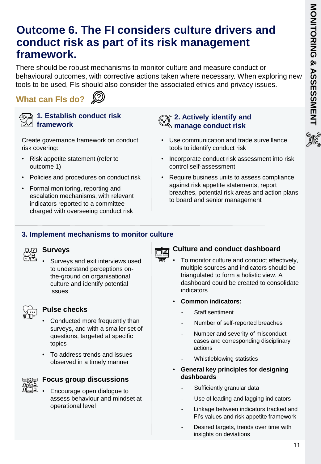### <span id="page-10-0"></span>**Outcome 6. The FI considers culture drivers and conduct risk as part of its risk management framework.**

There should be robust mechanisms to monitor culture and measure conduct or behavioural outcomes, with corrective actions taken where necessary. When exploring new tools to be used, FIs should also consider the associated ethics and privacy issues.

**What can FIs do?** 





#### **1. Establish conduct risk framework**

Create governance framework on conduct risk covering:

- Risk appetite statement (refer to outcome 1)
- Policies and procedures on conduct risk
- Formal monitoring, reporting and escalation mechanisms, with relevant indicators reported to a committee charged with overseeing conduct risk

#### **2. Actively identify and manage conduct risk**

- Use communication and trade surveillance tools to identify conduct risk
- Incorporate conduct risk assessment into risk control self-assessment
- Require business units to assess compliance against risk appetite statements, report breaches, potential risk areas and action plans to board and senior management

#### **3. Implement mechanisms to monitor culture**



• Surveys and exit interviews used to understand perceptions onthe-ground on organisational culture and identify potential issues



#### **Pulse checks**

- Conducted more frequently than surveys, and with a smaller set of questions, targeted at specific topics
- To address trends and issues observed in a timely manner



#### **Focus group discussions**

• Encourage open dialogue to assess behaviour and mindset at operational level



## **Culture and conduct dashboard**

- To monitor culture and conduct effectively, multiple sources and indicators should be triangulated to form a holistic view. A dashboard could be created to consolidate indicators
- **Common indicators:** 
	- Staff sentiment
	- Number of self-reported breaches
	- Number and severity of misconduct cases and corresponding disciplinary actions
	- Whistleblowing statistics
- **General key principles for designing dashboards**
	- Sufficiently granular data
	- Use of leading and lagging indicators
	- Linkage between indicators tracked and FI's values and risk appetite framework
	- Desired targets, trends over time with insights on deviations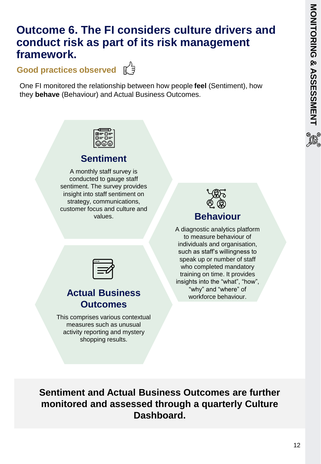### **Outcome 6. The FI considers culture drivers and conduct risk as part of its risk management framework.**

**Good practices observed**  $\begin{bmatrix} \mathbb{C}^2 \end{bmatrix}$ 



One FI monitored the relationship between how people **feel** (Sentiment), how they **behave** (Behaviour) and Actual Business Outcomes.

### **Sentiment**

A monthly staff survey is conducted to gauge staff sentiment. The survey provides insight into staff sentiment on strategy, communications, customer focus and culture and values.

| ୁ ଓ ଏ            |  |
|------------------|--|
| <b>Behaviour</b> |  |

A diagnostic analytics platform to measure behaviour of individuals and organisation, such as staff's willingness to speak up or number of staff who completed mandatory training on time. It provides insights into the "what", "how", "why" and "where" of workforce behaviour.

### **Actual Business Outcomes**

This comprises various contextual measures such as unusual activity reporting and mystery shopping results.

**Sentiment and Actual Business Outcomes are further monitored and assessed through a quarterly Culture Dashboard.**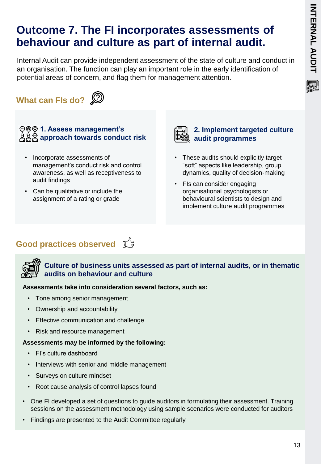### <span id="page-12-0"></span>**Outcome 7. The FI incorporates assessments of behaviour and culture as part of internal audit.**

Internal Audit can provide independent assessment of the state of culture and conduct in an organisation. The function can play an important role in the early identification of potential areas of concern, and flag them for management attention.

### **What can FIs do?**



#### $\bigcirc$  **© © 1. Assess management's approach towards conduct risk**

- Incorporate assessments of management's conduct risk and control awareness, as well as receptiveness to audit findings
- Can be qualitative or include the assignment of a rating or grade



#### **2. Implement targeted culture audit programmes**

- These audits should explicitly target "soft" aspects like leadership, group dynamics, quality of decision-making
- FIs can consider engaging organisational psychologists or behavioural scientists to design and implement culture audit programmes

### **Good practices observed**  $\mathbb{C}^3$



#### **Culture of business units assessed as part of internal audits, or in thematic audits on behaviour and culture**

#### **Assessments take into consideration several factors, such as:**

- Tone among senior management
- Ownership and accountability
- Effective communication and challenge
- Risk and resource management

#### **Assessments may be informed by the following:**

- FI's culture dashboard
- Interviews with senior and middle management
- Surveys on culture mindset
- Root cause analysis of control lapses found
- One FI developed a set of questions to guide auditors in formulating their assessment. Training sessions on the assessment methodology using sample scenarios were conducted for auditors
- Findings are presented to the Audit Committee regularly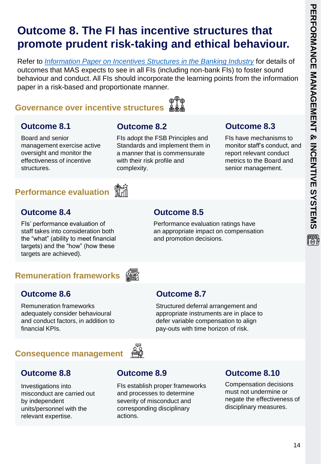圖

### <span id="page-13-0"></span>**Outcome 8. The FI has incentive structures that promote prudent risk-taking and ethical behaviour.**

Refer to *[Information Paper on Incentives Structures in the Banking Industry](https://www.mas.gov.sg/-/media/MAS/Publications/Monograph-or-Information-Paper/2019/Information-paper--Incentive-Structures-in-the-Banking-Industry.pdf)* for details of outcomes that MAS expects to see in all FIs (including non-bank FIs) to foster sound behaviour and conduct. All FIs should incorporate the learning points from the information paper in a risk-based and proportionate manner.

> FIs adopt the FSB Principles and Standards and implement them in a manner that is commensurate

with their risk profile and

complexity.

#### **Governance over incentive structures**



#### **Outcome 8.1 Outcome 8.2**

Board and senior management exercise active oversight and monitor the effectiveness of incentive structures.

#### <u>क्षेटर</u><br>प्राप्ती **Performance evaluation**

#### **Outcome 8.4**

FIs' performance evaluation of staff takes into consideration both the "what" (ability to meet financial targets) and the "how" (how these targets are achieved).

#### **Remuneration frameworks**



#### **Outcome 8.6**

Remuneration frameworks adequately consider behavioural and conduct factors, in addition to financial KPIs.

## **Outcome 8.7**

Structured deferral arrangement and appropriate instruments are in place to defer variable compensation to align pay-outs with time horizon of risk.

#### **Consequence management**

#### **Outcome 8.8**

Investigations into misconduct are carried out by independent units/personnel with the relevant expertise.

#### **Outcome 8.9**

FIs establish proper frameworks and processes to determine severity of misconduct and corresponding disciplinary actions.

#### **Outcome 8.10**

**Outcome 8.3**

FIs have mechanisms to monitor staff's conduct, and report relevant conduct metrics to the Board and senior management.

Compensation decisions must not undermine or negate the effectiveness of disciplinary measures.

### **Outcome 8.5**

Performance evaluation ratings have an appropriate impact on compensation and promotion decisions.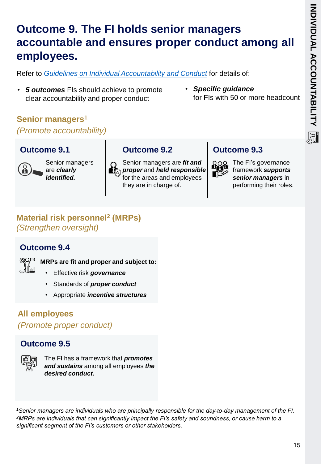### <span id="page-14-0"></span>**Outcome 9. The FI holds senior managers accountable and ensures proper conduct among all employees.**

Refer to *Guidelines [on Individual Accountability and Conduct](https://www.mas.gov.sg/regulation/guidelines/guidelines-on-individual-accountability-and-conduct)* for details of:

- *5 outcomes* FIs should achieve to promote clear accountability and proper conduct
- *Specific guidance*  for FIs with 50 or more headcount

#### **Senior managers<sup>1</sup>** *(Promote accountability)*

#### **Outcome 9.1**



Senior managers are *clearly identified.*



Senior managers are *fit and proper* and *held responsible* for the areas and employees they are in charge of.

**Outcome 9.2**

#### **Outcome 9.3**



The FI's governance framework *supports senior managers* in performing their roles.

#### **Material risk personnel<sup>2</sup> (MRPs)**  *(Strengthen oversight)*

#### **Outcome 9.4**



**MRPs are fit and proper and subject to:**

- Effective risk *governance*
- Standards of *proper conduct*
- Appropriate *incentive structures*

#### **All employees**

*(Promote proper conduct)*

#### **Outcome 9.5**



The FI has a framework that *promotes and sustains* among all employees *the desired conduct.*

*<sup>1</sup>Senior managers are individuals who are principally responsible for the day-to-day management of the FI. <sup>2</sup>MRPs are individuals that can significantly impact the FI's safety and soundness, or cause harm to a significant segment of the FI's customers or other stakeholders.*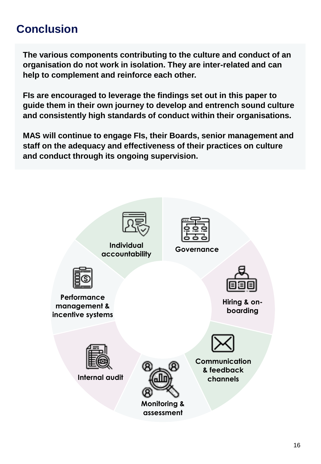### <span id="page-15-0"></span>**Conclusion**

**The various components contributing to the culture and conduct of an organisation do not work in isolation. They are inter-related and can help to complement and reinforce each other.**

**FIs are encouraged to leverage the findings set out in this paper to guide them in their own journey to develop and entrench sound culture and consistently high standards of conduct within their organisations.**

**MAS will continue to engage FIs, their Boards, senior management and staff on the adequacy and effectiveness of their practices on culture and conduct through its ongoing supervision.**